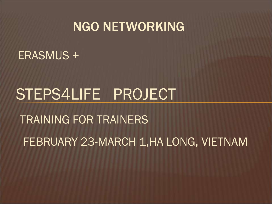#### NGO NETWORKING

#### ERASMUS +

#### STEPS4LIFE PROJECT

#### TRAINING FOR TRAINERS FEBRUARY 23-MARCH 1, HA LONG, VIETNAM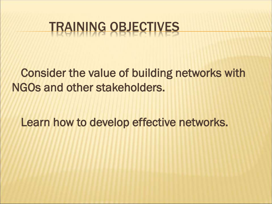## TRAINING OBJECTIVES

#### Consider the value of building networks with NGOs and other stakeholders.

Learn how to develop effective networks.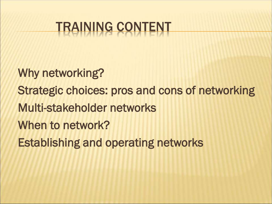## TRAINING CONTENT

Why networking? Strategic choices: pros and cons of networking Multi-stakeholder networks When to network? Establishing and operating networks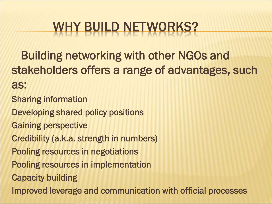# WHY BUILD NETWORKS?

Building networking with other NGOs and stakeholders offers a range of advantages, such

as:

Sharing information Developing shared policy positions Gaining perspective Credibility (a.k.a. strength in numbers) Pooling resources in negotiations Pooling resources in implementation Capacity building Improved leverage and communication with official processes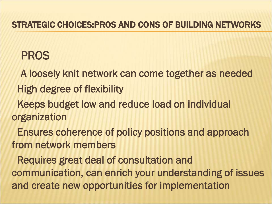#### STRATEGIC CHOICES:PROS AND CONS OF BUILDING NETWORKS

#### PROS

A loosely knit network can come together as needed High degree of flexibility

Keeps budget low and reduce load on individual organization

Ensures coherence of policy positions and approach from network members

Requires great deal of consultation and communication, can enrich your understanding of issues and create new opportunities for implementation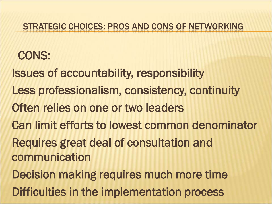#### STRATEGIC CHOICES: PROS AND CONS OF NETWORKING

#### CONS:

- Issues of accountability, responsibility
- Less professionalism, consistency, continuity
- Often relies on one or two leaders
- Can limit efforts to lowest common denominator
- Requires great deal of consultation and communication
- Decision making requires much more time Difficulties in the implementation process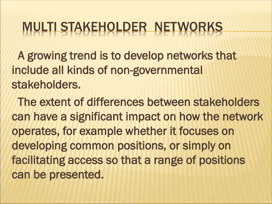# MULTI STAKEHOLDER NETWORKS

A growing trend is to develop networks that include all kinds of non-governmental stakeholders.

The extent of differences between stakeholders can have a significant impact on how the network operates, for example whether it focuses on developing common positions, or simply on facilitating access so that a range of positions can be presented.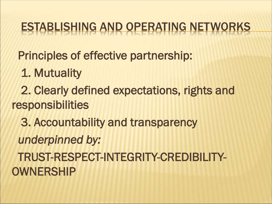#### ESTABLISHING AND OPERATING NETWORKS

Principles of effective partnership:

- 1. Mutuality
- 2. Clearly defined expectations, rights and responsibilities
	- 3. Accountability and transparency

*underpinned by:* 

TRUST-RESPECT-INTEGRITY-CREDIBILITY-OWNERSHIP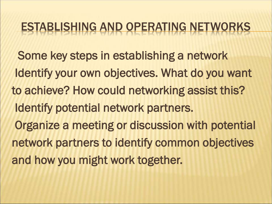#### ESTABLISHING AND OPERATING NETWORKS

Some key steps in establishing a network Identify your own objectives. What do you want to achieve? How could networking assist this? Identify potential network partners. Organize a meeting or discussion with potential network partners to identify common objectives and how you might work together.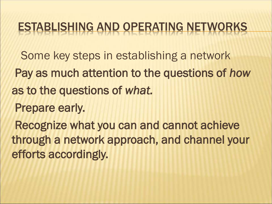#### ESTABLISHING AND OPERATING NETWORKS

- Some key steps in establishing a network
- Pay as much attention to the questions of *how*
- as to the questions of *what.*
	- Prepare early.

Recognize what you can and cannot achieve through a network approach, and channel your efforts accordingly.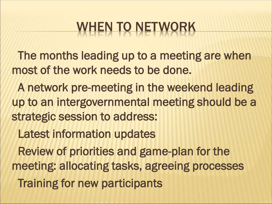# WHEN TO NETWORK

The months leading up to a meeting are when most of the work needs to be done.

A network pre-meeting in the weekend leading up to an intergovernmental meeting should be a strategic session to address:

Latest information updates

Review of priorities and game-plan for the meeting: allocating tasks, agreeing processes Training for new participants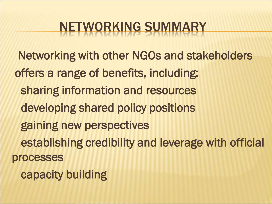Networking with other NGOs and stakeholders offers a range of benefits, including: sharing information and resources developing shared policy positions gaining new perspectives establishing credibility and leverage with official processes capacity building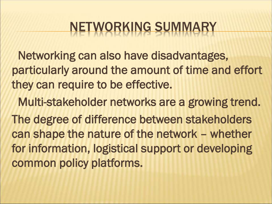Networking can also have disadvantages, particularly around the amount of time and effort they can require to be effective.

Multi-stakeholder networks are a growing trend. The degree of difference between stakeholders can shape the nature of the network – whether for information, logistical support or developing common policy platforms.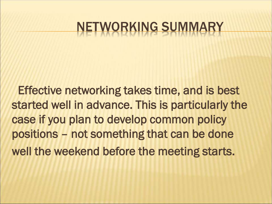Effective networking takes time, and is best started well in advance. This is particularly the case if you plan to develop common policy positions – not something that can be done well the weekend before the meeting starts.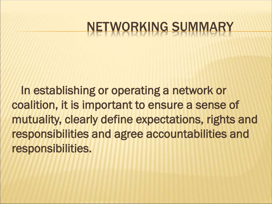In establishing or operating a network or coalition, it is important to ensure a sense of mutuality, clearly define expectations, rights and responsibilities and agree accountabilities and responsibilities.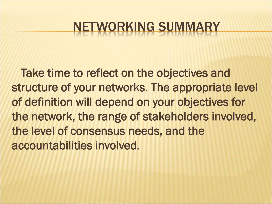Take time to reflect on the objectives and structure of your networks. The appropriate level of definition will depend on your objectives for the network, the range of stakeholders involved, the level of consensus needs, and the accountabilities involved.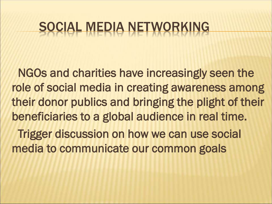## SOCIAL MEDIA NETWORKING

NGOs and charities have increasingly seen the role of social media in creating awareness among their donor publics and bringing the plight of their beneficiaries to a global audience in real time.

Trigger discussion on how we can use social media to communicate our common goals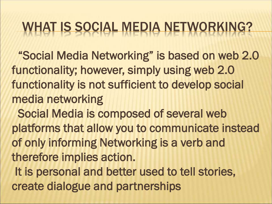## WHAT IS SOCIAL MEDIA NETWORKING?

"Social Media Networking" is based on web 2.0 functionality; however, simply using web 2.0 functionality is not sufficient to develop social media networking Social Media is composed of several web platforms that allow you to communicate instead of only informing Networking is a verb and therefore implies action.

It is personal and better used to tell stories, create dialogue and partnerships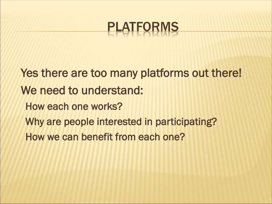

Yes there are too many platforms out there! We need to understand: How each one works? Why are people interested in participating? How we can benefit from each one?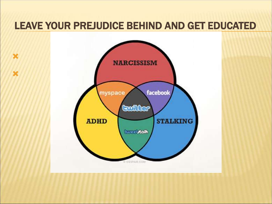#### LEAVE YOUR PREJUDICE BEHIND AND GET EDUCATED



×

×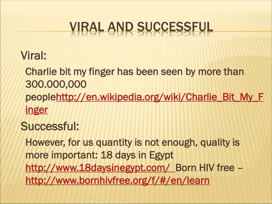## VIRAL AND SUCCESSFUL

#### Viral:

Charlie bit my finger has been seen by more than 300.000,000 [peoplehttp://en.wikipedia.org/wiki/Charlie\\_Bit\\_My\\_F](http://en.wikipedia.org/wiki/Charlie_Bit_My_Finger) inger

Successful:

However, for us quantity is not enough, quality is more important: 18 days in Egypt <http://www.18daysinegypt.com/> Born HIV free – [http://www.bornhivfree.org/f/#/en/learn](http://www.bornhivfree.org/f/%23/en/learn)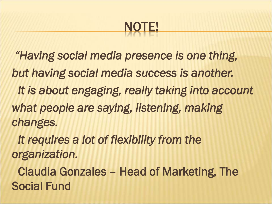## NOTE!

*"Having social media presence is one thing, but having social media success is another. It is about engaging, really taking into account what people are saying, listening, making changes.* 

*It requires a lot of flexibility from the organization.* 

Claudia Gonzales – Head of Marketing, The Social Fund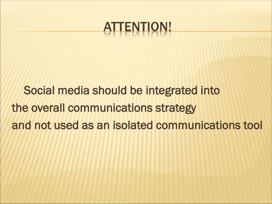

#### Social media should be integrated into the overall communications strategy and not used as an isolated communications tool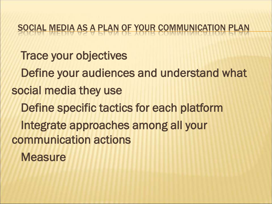SOCIAL MEDIA AS A PLAN OF YOUR COMMUNICATION PLAN

Trace your objectives

Define your audiences and understand what

social media they use

Define specific tactics for each platform

Integrate approaches among all your communication actions

**Measure**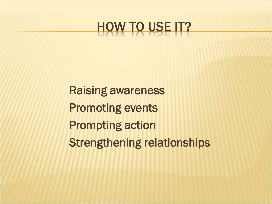

Raising awareness Promoting events Prompting action Strengthening relationships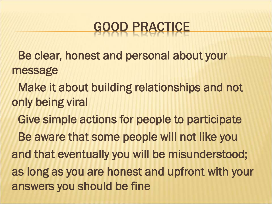## GOOD PRACTICE

- Be clear, honest and personal about your message
- Make it about building relationships and not only being viral
	- Give simple actions for people to participate
	- Be aware that some people will not like you
- and that eventually you will be misunderstood;
- as long as you are honest and upfront with your answers you should be fine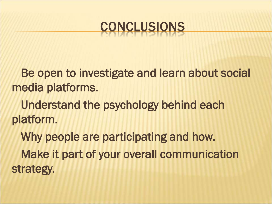

Be open to investigate and learn about social media platforms.

Understand the psychology behind each platform.

Why people are participating and how. Make it part of your overall communication strategy.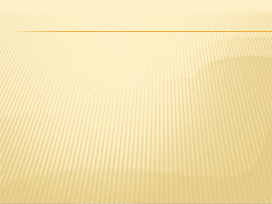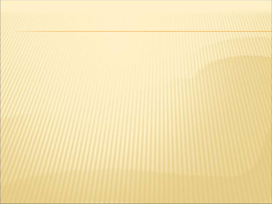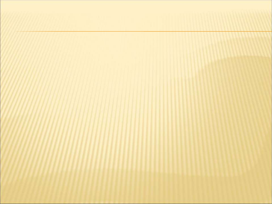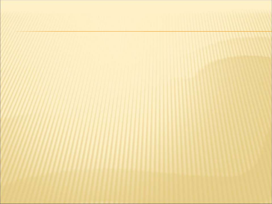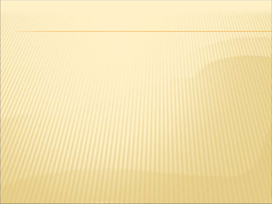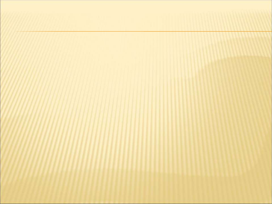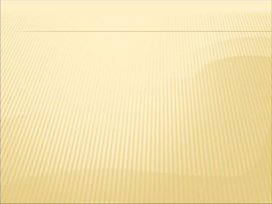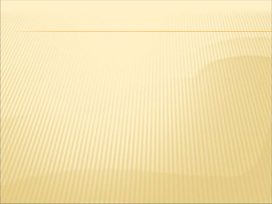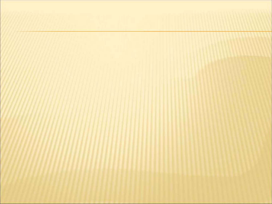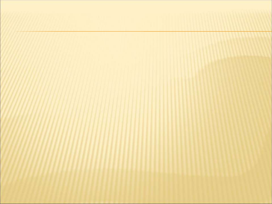